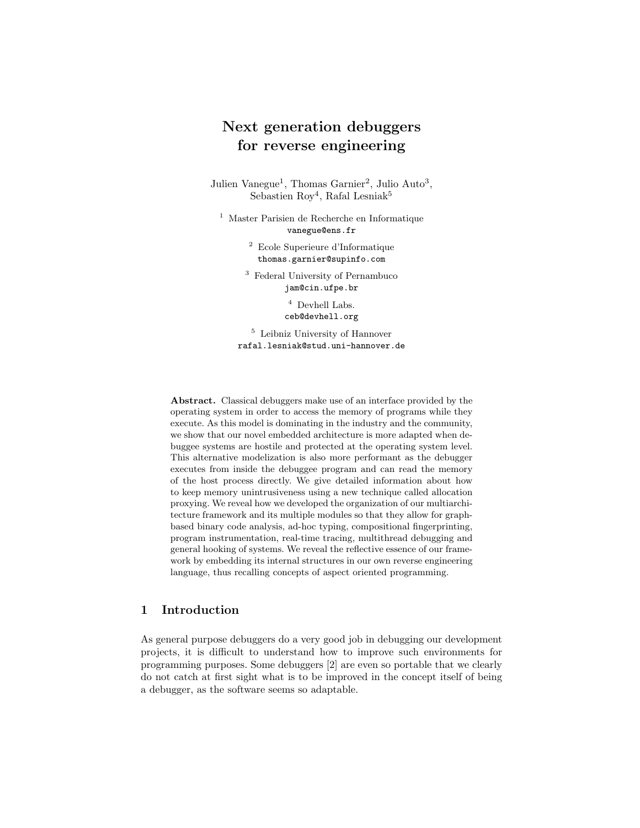# Next generation debuggers for reverse engineering

Julien Vanegue<sup>1</sup>, Thomas Garnier<sup>2</sup>, Julio Auto<sup>3</sup>, Sebastien  $\text{Roy}^4$ , Rafal Lesniak<sup>5</sup>

<sup>1</sup> Master Parisien de Recherche en Informatique vanegue@ens.fr

> <sup>2</sup> Ecole Superieure d'Informatique thomas.garnier@supinfo.com

<sup>3</sup> Federal University of Pernambuco jam@cin.ufpe.br

> $^4$  Devhell Labs. ceb@devhell.org

<sup>5</sup> Leibniz University of Hannover rafal.lesniak@stud.uni-hannover.de

Abstract. Classical debuggers make use of an interface provided by the operating system in order to access the memory of programs while they execute. As this model is dominating in the industry and the community, we show that our novel embedded architecture is more adapted when debuggee systems are hostile and protected at the operating system level. This alternative modelization is also more performant as the debugger executes from inside the debuggee program and can read the memory of the host process directly. We give detailed information about how to keep memory unintrusiveness using a new technique called allocation proxying. We reveal how we developed the organization of our multiarchitecture framework and its multiple modules so that they allow for graphbased binary code analysis, ad-hoc typing, compositional fingerprinting, program instrumentation, real-time tracing, multithread debugging and general hooking of systems. We reveal the reflective essence of our framework by embedding its internal structures in our own reverse engineering language, thus recalling concepts of aspect oriented programming.

# 1 Introduction

As general purpose debuggers do a very good job in debugging our development projects, it is difficult to understand how to improve such environments for programming purposes. Some debuggers [2] are even so portable that we clearly do not catch at first sight what is to be improved in the concept itself of being a debugger, as the software seems so adaptable.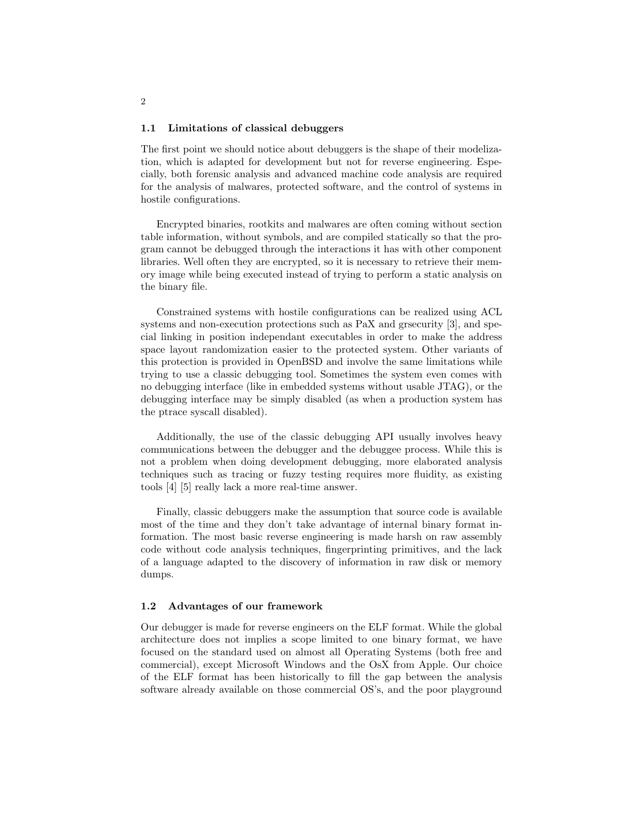#### 1.1 Limitations of classical debuggers

The first point we should notice about debuggers is the shape of their modelization, which is adapted for development but not for reverse engineering. Especially, both forensic analysis and advanced machine code analysis are required for the analysis of malwares, protected software, and the control of systems in hostile configurations.

Encrypted binaries, rootkits and malwares are often coming without section table information, without symbols, and are compiled statically so that the program cannot be debugged through the interactions it has with other component libraries. Well often they are encrypted, so it is necessary to retrieve their memory image while being executed instead of trying to perform a static analysis on the binary file.

Constrained systems with hostile configurations can be realized using ACL systems and non-execution protections such as PaX and grsecurity [3], and special linking in position independant executables in order to make the address space layout randomization easier to the protected system. Other variants of this protection is provided in OpenBSD and involve the same limitations while trying to use a classic debugging tool. Sometimes the system even comes with no debugging interface (like in embedded systems without usable JTAG), or the debugging interface may be simply disabled (as when a production system has the ptrace syscall disabled).

Additionally, the use of the classic debugging API usually involves heavy communications between the debugger and the debuggee process. While this is not a problem when doing development debugging, more elaborated analysis techniques such as tracing or fuzzy testing requires more fluidity, as existing tools [4] [5] really lack a more real-time answer.

Finally, classic debuggers make the assumption that source code is available most of the time and they don't take advantage of internal binary format information. The most basic reverse engineering is made harsh on raw assembly code without code analysis techniques, fingerprinting primitives, and the lack of a language adapted to the discovery of information in raw disk or memory dumps.

#### 1.2 Advantages of our framework

Our debugger is made for reverse engineers on the ELF format. While the global architecture does not implies a scope limited to one binary format, we have focused on the standard used on almost all Operating Systems (both free and commercial), except Microsoft Windows and the OsX from Apple. Our choice of the ELF format has been historically to fill the gap between the analysis software already available on those commercial OS's, and the poor playground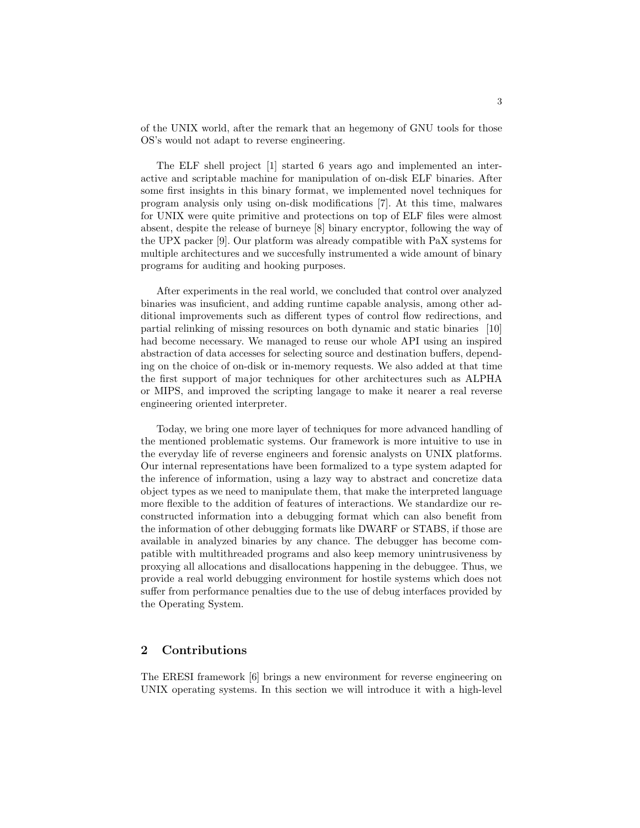of the UNIX world, after the remark that an hegemony of GNU tools for those OS's would not adapt to reverse engineering.

The ELF shell project [1] started 6 years ago and implemented an interactive and scriptable machine for manipulation of on-disk ELF binaries. After some first insights in this binary format, we implemented novel techniques for program analysis only using on-disk modifications [7]. At this time, malwares for UNIX were quite primitive and protections on top of ELF files were almost absent, despite the release of burneye [8] binary encryptor, following the way of the UPX packer [9]. Our platform was already compatible with PaX systems for multiple architectures and we succesfully instrumented a wide amount of binary programs for auditing and hooking purposes.

After experiments in the real world, we concluded that control over analyzed binaries was insuficient, and adding runtime capable analysis, among other additional improvements such as different types of control flow redirections, and partial relinking of missing resources on both dynamic and static binaries [10] had become necessary. We managed to reuse our whole API using an inspired abstraction of data accesses for selecting source and destination buffers, depending on the choice of on-disk or in-memory requests. We also added at that time the first support of major techniques for other architectures such as ALPHA or MIPS, and improved the scripting langage to make it nearer a real reverse engineering oriented interpreter.

Today, we bring one more layer of techniques for more advanced handling of the mentioned problematic systems. Our framework is more intuitive to use in the everyday life of reverse engineers and forensic analysts on UNIX platforms. Our internal representations have been formalized to a type system adapted for the inference of information, using a lazy way to abstract and concretize data object types as we need to manipulate them, that make the interpreted language more flexible to the addition of features of interactions. We standardize our reconstructed information into a debugging format which can also benefit from the information of other debugging formats like DWARF or STABS, if those are available in analyzed binaries by any chance. The debugger has become compatible with multithreaded programs and also keep memory unintrusiveness by proxying all allocations and disallocations happening in the debuggee. Thus, we provide a real world debugging environment for hostile systems which does not suffer from performance penalties due to the use of debug interfaces provided by the Operating System.

# 2 Contributions

The ERESI framework [6] brings a new environment for reverse engineering on UNIX operating systems. In this section we will introduce it with a high-level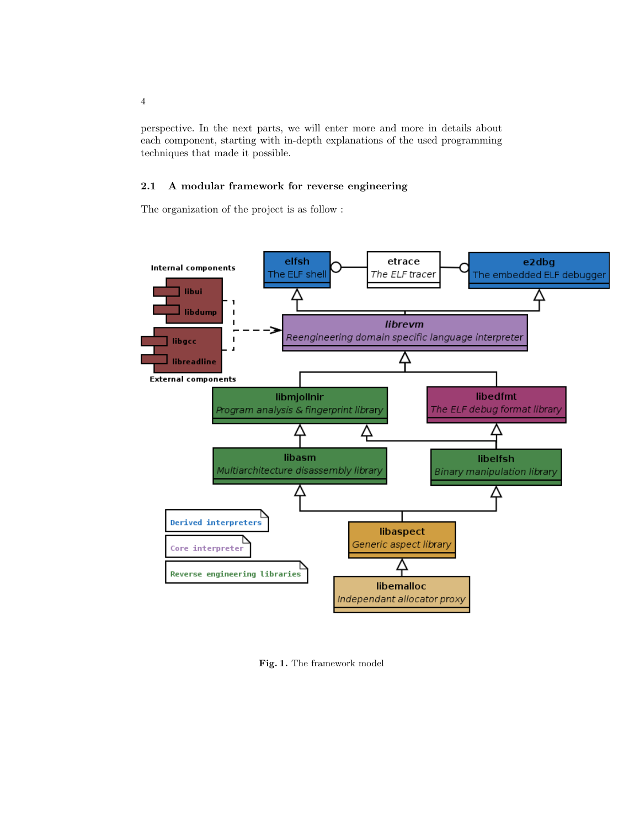perspective. In the next parts, we will enter more and more in details about each component, starting with in-depth explanations of the used programming techniques that made it possible.

# 2.1 A modular framework for reverse engineering

The organization of the project is as follow :



Fig. 1. The framework model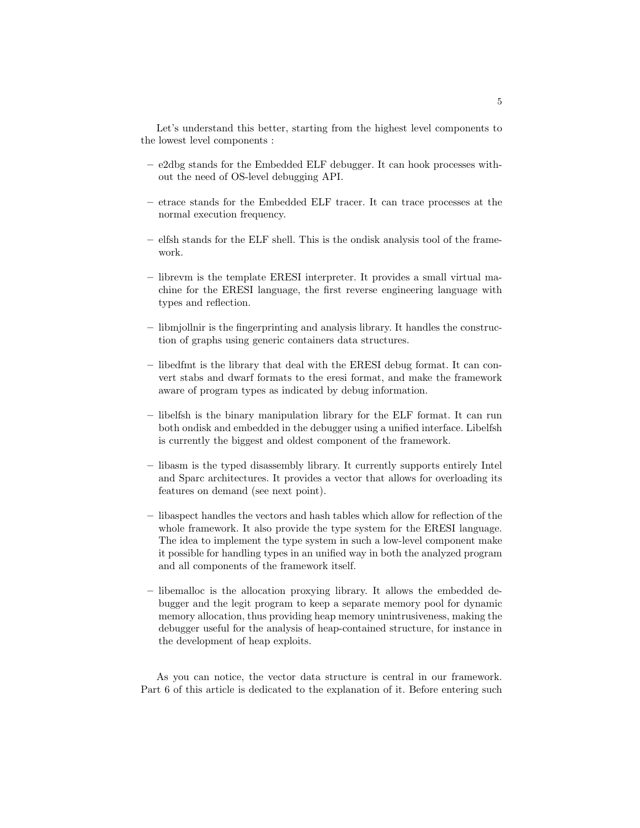Let's understand this better, starting from the highest level components to the lowest level components :

- e2dbg stands for the Embedded ELF debugger. It can hook processes without the need of OS-level debugging API.
- etrace stands for the Embedded ELF tracer. It can trace processes at the normal execution frequency.
- elfsh stands for the ELF shell. This is the ondisk analysis tool of the framework.
- librevm is the template ERESI interpreter. It provides a small virtual machine for the ERESI language, the first reverse engineering language with types and reflection.
- libmjollnir is the fingerprinting and analysis library. It handles the construction of graphs using generic containers data structures.
- libedfmt is the library that deal with the ERESI debug format. It can convert stabs and dwarf formats to the eresi format, and make the framework aware of program types as indicated by debug information.
- libelfsh is the binary manipulation library for the ELF format. It can run both ondisk and embedded in the debugger using a unified interface. Libelfsh is currently the biggest and oldest component of the framework.
- libasm is the typed disassembly library. It currently supports entirely Intel and Sparc architectures. It provides a vector that allows for overloading its features on demand (see next point).
- libaspect handles the vectors and hash tables which allow for reflection of the whole framework. It also provide the type system for the ERESI language. The idea to implement the type system in such a low-level component make it possible for handling types in an unified way in both the analyzed program and all components of the framework itself.
- libemalloc is the allocation proxying library. It allows the embedded debugger and the legit program to keep a separate memory pool for dynamic memory allocation, thus providing heap memory unintrusiveness, making the debugger useful for the analysis of heap-contained structure, for instance in the development of heap exploits.

As you can notice, the vector data structure is central in our framework. Part 6 of this article is dedicated to the explanation of it. Before entering such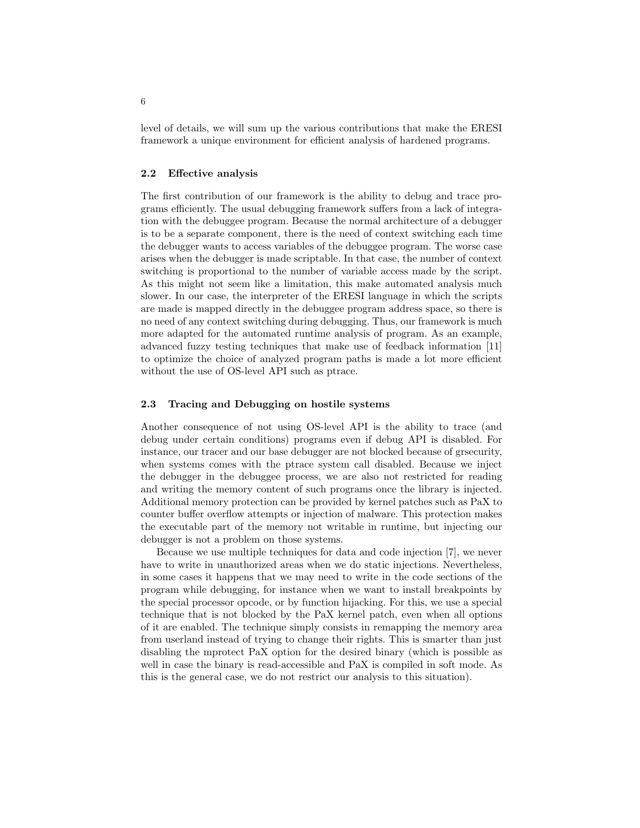level of details, we will sum up the various contributions that make the ERESI framework a unique environment for efficient analysis of hardened programs.

### 2.2 Effective analysis

The first contribution of our framework is the ability to debug and trace programs efficiently. The usual debugging framework suffers from a lack of integration with the debuggee program. Because the normal architecture of a debugger is to be a separate component, there is the need of context switching each time the debugger wants to access variables of the debuggee program. The worse case arises when the debugger is made scriptable. In that case, the number of context switching is proportional to the number of variable access made by the script. As this might not seem like a limitation, this make automated analysis much slower. In our case, the interpreter of the ERESI language in which the scripts are made is mapped directly in the debuggee program address space, so there is no need of any context switching during debugging. Thus, our framework is much more adapted for the automated runtime analysis of program. As an example, advanced fuzzy testing techniques that make use of feedback information [11] to optimize the choice of analyzed program paths is made a lot more efficient without the use of OS-level API such as ptrace.

### 2.3 Tracing and Debugging on hostile systems

Another consequence of not using OS-level API is the ability to trace (and debug under certain conditions) programs even if debug API is disabled. For instance, our tracer and our base debugger are not blocked because of grsecurity, when systems comes with the ptrace system call disabled. Because we inject the debugger in the debuggee process, we are also not restricted for reading and writing the memory content of such programs once the library is injected. Additional memory protection can be provided by kernel patches such as PaX to counter buffer overflow attempts or injection of malware. This protection makes the executable part of the memory not writable in runtime, but injecting our debugger is not a problem on those systems.

Because we use multiple techniques for data and code injection [7], we never have to write in unauthorized areas when we do static injections. Nevertheless, in some cases it happens that we may need to write in the code sections of the program while debugging, for instance when we want to install breakpoints by the special processor opcode, or by function hijacking. For this, we use a special technique that is not blocked by the PaX kernel patch, even when all options of it are enabled. The technique simply consists in remapping the memory area from userland instead of trying to change their rights. This is smarter than just disabling the mprotect PaX option for the desired binary (which is possible as well in case the binary is read-accessible and PaX is compiled in soft mode. As this is the general case, we do not restrict our analysis to this situation).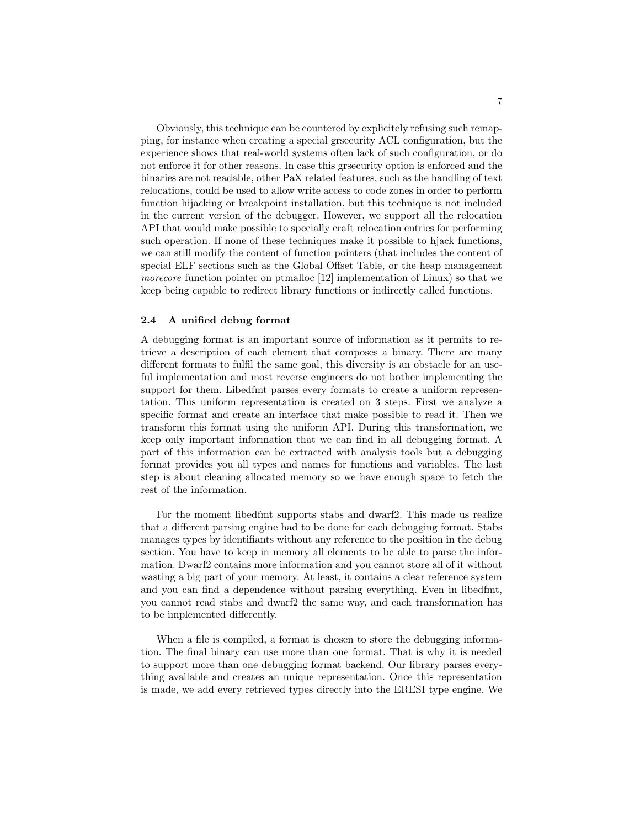Obviously, this technique can be countered by explicitely refusing such remapping, for instance when creating a special grsecurity ACL configuration, but the experience shows that real-world systems often lack of such configuration, or do not enforce it for other reasons. In case this grsecurity option is enforced and the binaries are not readable, other PaX related features, such as the handling of text relocations, could be used to allow write access to code zones in order to perform function hijacking or breakpoint installation, but this technique is not included in the current version of the debugger. However, we support all the relocation API that would make possible to specially craft relocation entries for performing such operation. If none of these techniques make it possible to hjack functions, we can still modify the content of function pointers (that includes the content of special ELF sections such as the Global Offset Table, or the heap management morecore function pointer on ptmalloc [12] implementation of Linux) so that we keep being capable to redirect library functions or indirectly called functions.

### 2.4 A unified debug format

A debugging format is an important source of information as it permits to retrieve a description of each element that composes a binary. There are many different formats to fulfil the same goal, this diversity is an obstacle for an useful implementation and most reverse engineers do not bother implementing the support for them. Libedfmt parses every formats to create a uniform representation. This uniform representation is created on 3 steps. First we analyze a specific format and create an interface that make possible to read it. Then we transform this format using the uniform API. During this transformation, we keep only important information that we can find in all debugging format. A part of this information can be extracted with analysis tools but a debugging format provides you all types and names for functions and variables. The last step is about cleaning allocated memory so we have enough space to fetch the rest of the information.

For the moment libedfmt supports stabs and dwarf2. This made us realize that a different parsing engine had to be done for each debugging format. Stabs manages types by identifiants without any reference to the position in the debug section. You have to keep in memory all elements to be able to parse the information. Dwarf2 contains more information and you cannot store all of it without wasting a big part of your memory. At least, it contains a clear reference system and you can find a dependence without parsing everything. Even in libedfmt, you cannot read stabs and dwarf2 the same way, and each transformation has to be implemented differently.

When a file is compiled, a format is chosen to store the debugging information. The final binary can use more than one format. That is why it is needed to support more than one debugging format backend. Our library parses everything available and creates an unique representation. Once this representation is made, we add every retrieved types directly into the ERESI type engine. We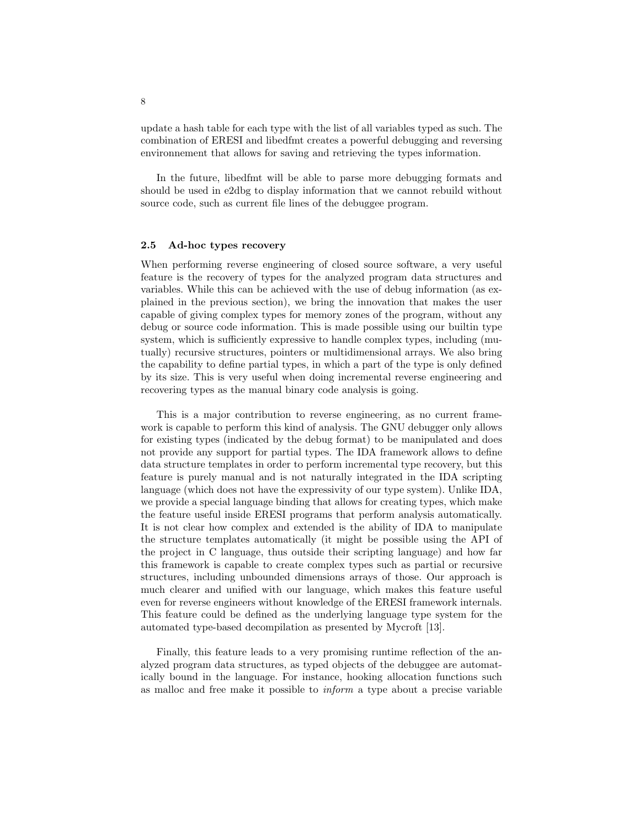update a hash table for each type with the list of all variables typed as such. The combination of ERESI and libedfmt creates a powerful debugging and reversing environnement that allows for saving and retrieving the types information.

In the future, libedfmt will be able to parse more debugging formats and should be used in e2dbg to display information that we cannot rebuild without source code, such as current file lines of the debuggee program.

#### 2.5 Ad-hoc types recovery

When performing reverse engineering of closed source software, a very useful feature is the recovery of types for the analyzed program data structures and variables. While this can be achieved with the use of debug information (as explained in the previous section), we bring the innovation that makes the user capable of giving complex types for memory zones of the program, without any debug or source code information. This is made possible using our builtin type system, which is sufficiently expressive to handle complex types, including (mutually) recursive structures, pointers or multidimensional arrays. We also bring the capability to define partial types, in which a part of the type is only defined by its size. This is very useful when doing incremental reverse engineering and recovering types as the manual binary code analysis is going.

This is a major contribution to reverse engineering, as no current framework is capable to perform this kind of analysis. The GNU debugger only allows for existing types (indicated by the debug format) to be manipulated and does not provide any support for partial types. The IDA framework allows to define data structure templates in order to perform incremental type recovery, but this feature is purely manual and is not naturally integrated in the IDA scripting language (which does not have the expressivity of our type system). Unlike IDA, we provide a special language binding that allows for creating types, which make the feature useful inside ERESI programs that perform analysis automatically. It is not clear how complex and extended is the ability of IDA to manipulate the structure templates automatically (it might be possible using the API of the project in C language, thus outside their scripting language) and how far this framework is capable to create complex types such as partial or recursive structures, including unbounded dimensions arrays of those. Our approach is much clearer and unified with our language, which makes this feature useful even for reverse engineers without knowledge of the ERESI framework internals. This feature could be defined as the underlying language type system for the automated type-based decompilation as presented by Mycroft [13].

Finally, this feature leads to a very promising runtime reflection of the analyzed program data structures, as typed objects of the debuggee are automatically bound in the language. For instance, hooking allocation functions such as malloc and free make it possible to inform a type about a precise variable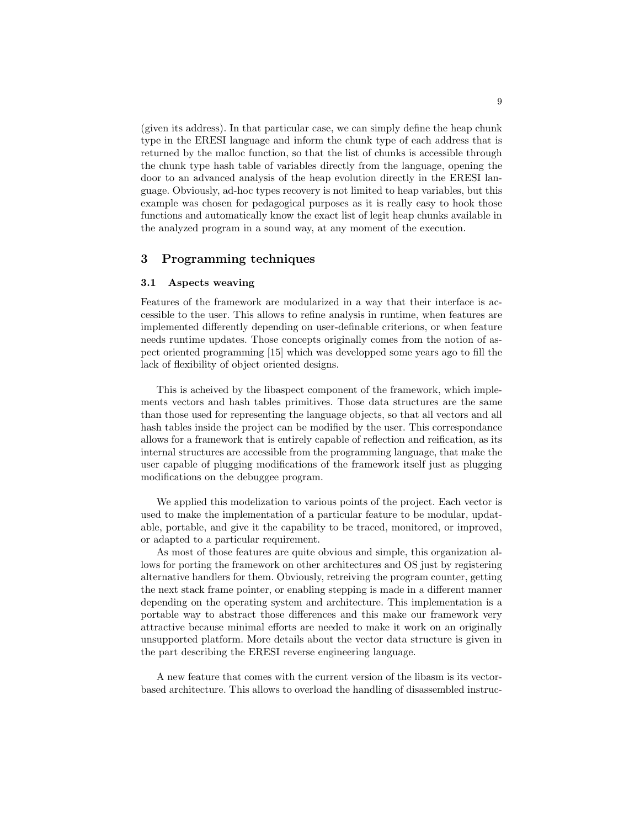(given its address). In that particular case, we can simply define the heap chunk type in the ERESI language and inform the chunk type of each address that is returned by the malloc function, so that the list of chunks is accessible through the chunk type hash table of variables directly from the language, opening the door to an advanced analysis of the heap evolution directly in the ERESI language. Obviously, ad-hoc types recovery is not limited to heap variables, but this example was chosen for pedagogical purposes as it is really easy to hook those functions and automatically know the exact list of legit heap chunks available in the analyzed program in a sound way, at any moment of the execution.

### 3 Programming techniques

### 3.1 Aspects weaving

Features of the framework are modularized in a way that their interface is accessible to the user. This allows to refine analysis in runtime, when features are implemented differently depending on user-definable criterions, or when feature needs runtime updates. Those concepts originally comes from the notion of aspect oriented programming [15] which was developped some years ago to fill the lack of flexibility of object oriented designs.

This is acheived by the libaspect component of the framework, which implements vectors and hash tables primitives. Those data structures are the same than those used for representing the language objects, so that all vectors and all hash tables inside the project can be modified by the user. This correspondance allows for a framework that is entirely capable of reflection and reification, as its internal structures are accessible from the programming language, that make the user capable of plugging modifications of the framework itself just as plugging modifications on the debuggee program.

We applied this modelization to various points of the project. Each vector is used to make the implementation of a particular feature to be modular, updatable, portable, and give it the capability to be traced, monitored, or improved, or adapted to a particular requirement.

As most of those features are quite obvious and simple, this organization allows for porting the framework on other architectures and OS just by registering alternative handlers for them. Obviously, retreiving the program counter, getting the next stack frame pointer, or enabling stepping is made in a different manner depending on the operating system and architecture. This implementation is a portable way to abstract those differences and this make our framework very attractive because minimal efforts are needed to make it work on an originally unsupported platform. More details about the vector data structure is given in the part describing the ERESI reverse engineering language.

A new feature that comes with the current version of the libasm is its vectorbased architecture. This allows to overload the handling of disassembled instruc-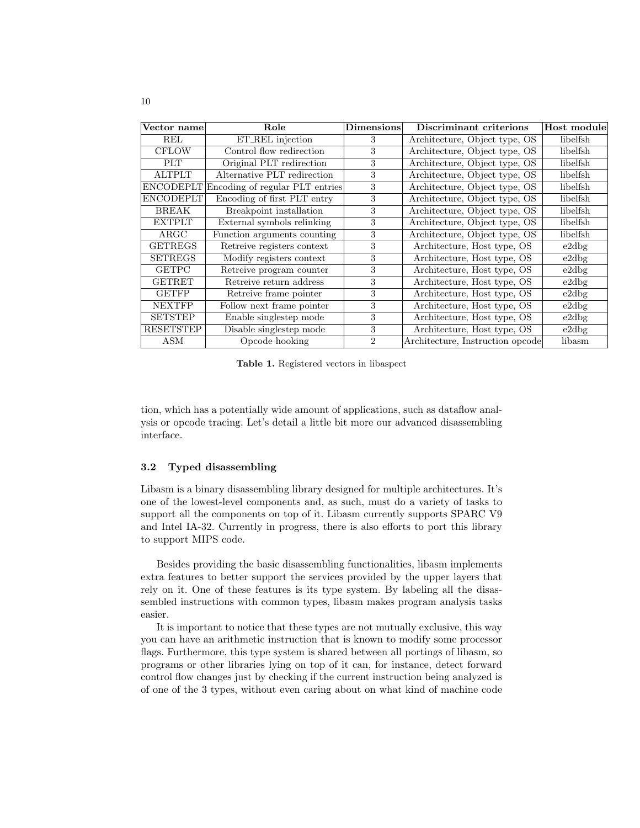| Vector name      | Role                            | <b>Dimensions</b> | Discriminant criterions          | Host module |
|------------------|---------------------------------|-------------------|----------------------------------|-------------|
| REL              | ET_REL injection                | 3                 | Architecture, Object type, OS    | libelfsh    |
| <b>CFLOW</b>     | Control flow redirection        | 3                 | Architecture, Object type, OS    | libelfsh    |
| <b>PLT</b>       | Original PLT redirection        | 3                 | Architecture, Object type, OS    | libelfsh    |
| <b>ALTPLT</b>    | Alternative PLT redirection     | 3                 | Architecture, Object type, OS    | libelfsh    |
| <b>ENCODEPLT</b> | Encoding of regular PLT entries | 3                 | Architecture, Object type, OS    | libelfsh    |
| <b>ENCODEPLT</b> | Encoding of first PLT entry     | 3                 | Architecture, Object type, OS    | libelfsh    |
| <b>BREAK</b>     | Breakpoint installation         | 3                 | Architecture, Object type, OS    | libelfsh    |
| <b>EXTPLT</b>    | External symbols relinking      | 3                 | Architecture, Object type, OS    | libelfsh    |
| $\rm{ARGC}$      | Function arguments counting     | 3                 | Architecture, Object type, OS    | libelfsh    |
| <b>GETREGS</b>   | Retreive registers context      | 3                 | Architecture, Host type, OS      | e2dbg       |
| <b>SETREGS</b>   | Modify registers context        | 3                 | Architecture, Host type, OS      | e2dbg       |
| <b>GETPC</b>     | Retreive program counter        | 3                 | Architecture, Host type, OS      | e2dbg       |
| <b>GETRET</b>    | Retreive return address         | 3                 | Architecture, Host type, OS      | e2dbg       |
| <b>GETFP</b>     | Retreive frame pointer          | 3                 | Architecture, Host type, OS      | e2dbg       |
| <b>NEXTFP</b>    | Follow next frame pointer       | 3                 | Architecture, Host type, OS      | e2dbg       |
| <b>SETSTEP</b>   | Enable singlestep mode          | 3                 | Architecture, Host type, OS      | e2dbg       |
| <b>RESETSTEP</b> | Disable singlestep mode         | 3                 | Architecture, Host type, OS      | e2dbg       |
| <b>ASM</b>       | Opcode hooking                  | $\mathfrak{D}$    | Architecture, Instruction opcode | libasm      |

Table 1. Registered vectors in libaspect

tion, which has a potentially wide amount of applications, such as dataflow analysis or opcode tracing. Let's detail a little bit more our advanced disassembling interface.

### 3.2 Typed disassembling

Libasm is a binary disassembling library designed for multiple architectures. It's one of the lowest-level components and, as such, must do a variety of tasks to support all the components on top of it. Libasm currently supports SPARC V9 and Intel IA-32. Currently in progress, there is also efforts to port this library to support MIPS code.

Besides providing the basic disassembling functionalities, libasm implements extra features to better support the services provided by the upper layers that rely on it. One of these features is its type system. By labeling all the disassembled instructions with common types, libasm makes program analysis tasks easier.

It is important to notice that these types are not mutually exclusive, this way you can have an arithmetic instruction that is known to modify some processor flags. Furthermore, this type system is shared between all portings of libasm, so programs or other libraries lying on top of it can, for instance, detect forward control flow changes just by checking if the current instruction being analyzed is of one of the 3 types, without even caring about on what kind of machine code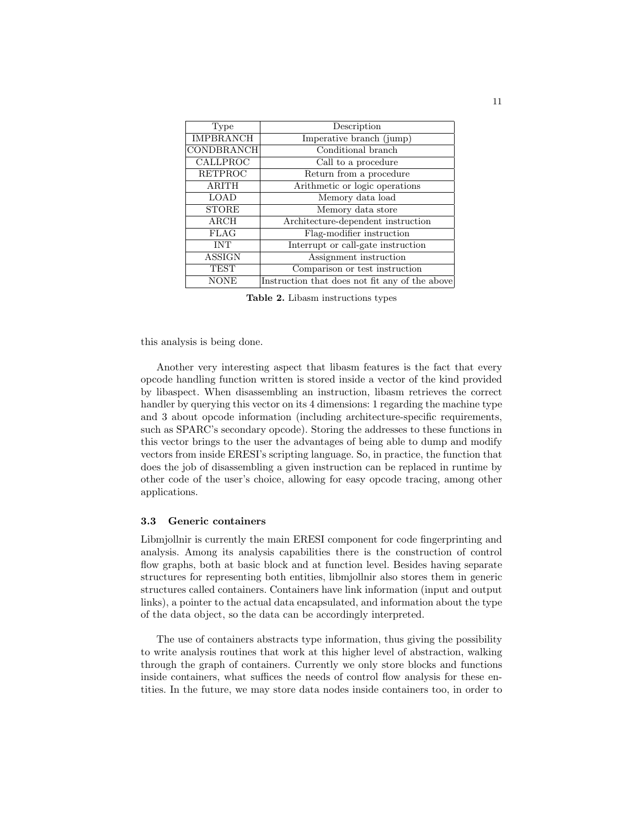| Type              | Description                                    |
|-------------------|------------------------------------------------|
| <b>IMPBRANCH</b>  | Imperative branch (jump)                       |
| <b>CONDBRANCH</b> | Conditional branch                             |
| CALLPROC          | Call to a procedure                            |
| <b>RETPROC</b>    | Return from a procedure                        |
| <b>ARITH</b>      | Arithmetic or logic operations                 |
| <b>LOAD</b>       | Memory data load                               |
| <b>STORE</b>      | Memory data store                              |
| $\rm{ARCH}$       | Architecture-dependent instruction             |
| <b>FLAG</b>       | Flag-modifier instruction                      |
| <b>INT</b>        | Interrupt or call-gate instruction             |
| <b>ASSIGN</b>     | Assignment instruction                         |
| <b>TEST</b>       | Comparison or test instruction                 |
| <b>NONE</b>       | Instruction that does not fit any of the above |

Table 2. Libasm instructions types

this analysis is being done.

Another very interesting aspect that libasm features is the fact that every opcode handling function written is stored inside a vector of the kind provided by libaspect. When disassembling an instruction, libasm retrieves the correct handler by querying this vector on its 4 dimensions: 1 regarding the machine type and 3 about opcode information (including architecture-specific requirements, such as SPARC's secondary opcode). Storing the addresses to these functions in this vector brings to the user the advantages of being able to dump and modify vectors from inside ERESI's scripting language. So, in practice, the function that does the job of disassembling a given instruction can be replaced in runtime by other code of the user's choice, allowing for easy opcode tracing, among other applications.

#### 3.3 Generic containers

Libmjollnir is currently the main ERESI component for code fingerprinting and analysis. Among its analysis capabilities there is the construction of control flow graphs, both at basic block and at function level. Besides having separate structures for representing both entities, libmjollnir also stores them in generic structures called containers. Containers have link information (input and output links), a pointer to the actual data encapsulated, and information about the type of the data object, so the data can be accordingly interpreted.

The use of containers abstracts type information, thus giving the possibility to write analysis routines that work at this higher level of abstraction, walking through the graph of containers. Currently we only store blocks and functions inside containers, what suffices the needs of control flow analysis for these entities. In the future, we may store data nodes inside containers too, in order to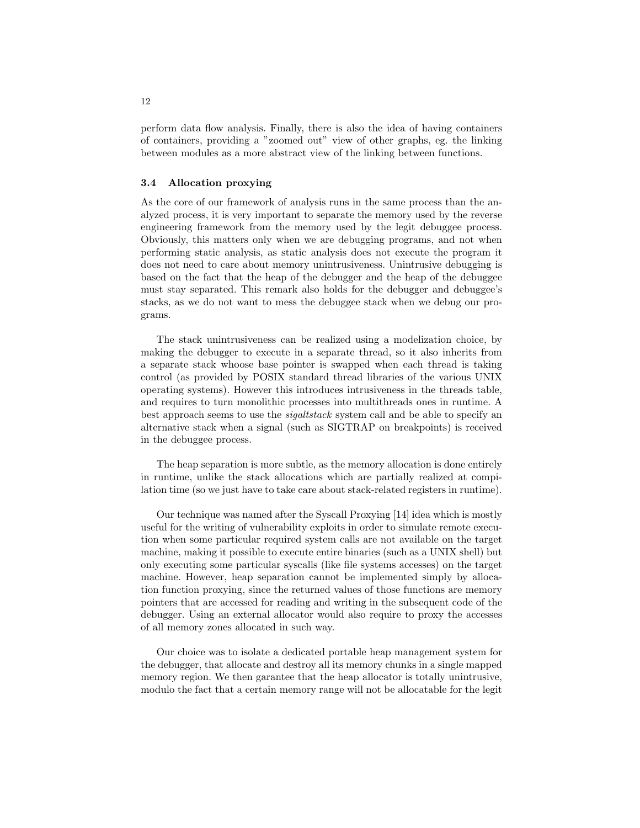perform data flow analysis. Finally, there is also the idea of having containers of containers, providing a "zoomed out" view of other graphs, eg. the linking between modules as a more abstract view of the linking between functions.

### 3.4 Allocation proxying

As the core of our framework of analysis runs in the same process than the analyzed process, it is very important to separate the memory used by the reverse engineering framework from the memory used by the legit debuggee process. Obviously, this matters only when we are debugging programs, and not when performing static analysis, as static analysis does not execute the program it does not need to care about memory unintrusiveness. Unintrusive debugging is based on the fact that the heap of the debugger and the heap of the debuggee must stay separated. This remark also holds for the debugger and debuggee's stacks, as we do not want to mess the debuggee stack when we debug our programs.

The stack unintrusiveness can be realized using a modelization choice, by making the debugger to execute in a separate thread, so it also inherits from a separate stack whoose base pointer is swapped when each thread is taking control (as provided by POSIX standard thread libraries of the various UNIX operating systems). However this introduces intrusiveness in the threads table, and requires to turn monolithic processes into multithreads ones in runtime. A best approach seems to use the sigaltstack system call and be able to specify an alternative stack when a signal (such as SIGTRAP on breakpoints) is received in the debuggee process.

The heap separation is more subtle, as the memory allocation is done entirely in runtime, unlike the stack allocations which are partially realized at compilation time (so we just have to take care about stack-related registers in runtime).

Our technique was named after the Syscall Proxying [14] idea which is mostly useful for the writing of vulnerability exploits in order to simulate remote execution when some particular required system calls are not available on the target machine, making it possible to execute entire binaries (such as a UNIX shell) but only executing some particular syscalls (like file systems accesses) on the target machine. However, heap separation cannot be implemented simply by allocation function proxying, since the returned values of those functions are memory pointers that are accessed for reading and writing in the subsequent code of the debugger. Using an external allocator would also require to proxy the accesses of all memory zones allocated in such way.

Our choice was to isolate a dedicated portable heap management system for the debugger, that allocate and destroy all its memory chunks in a single mapped memory region. We then garantee that the heap allocator is totally unintrusive, modulo the fact that a certain memory range will not be allocatable for the legit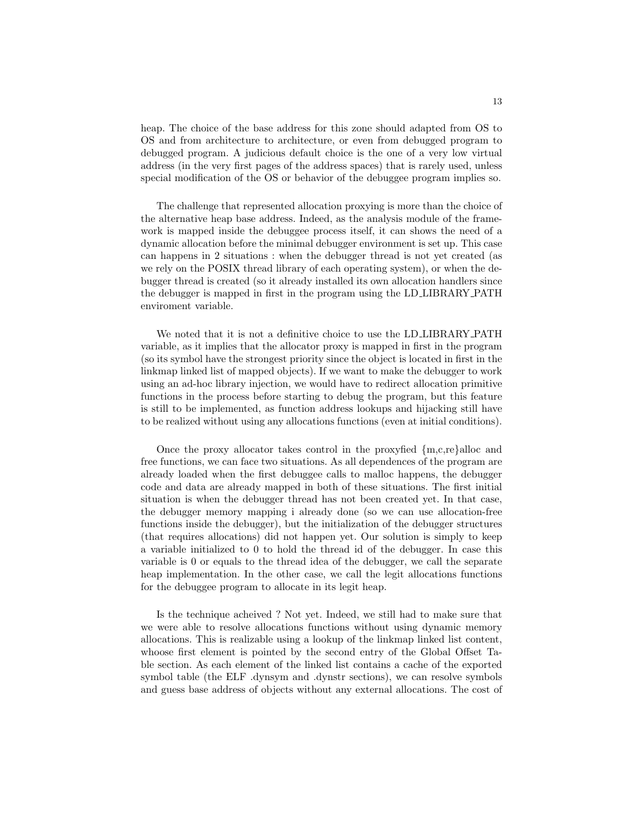heap. The choice of the base address for this zone should adapted from OS to OS and from architecture to architecture, or even from debugged program to debugged program. A judicious default choice is the one of a very low virtual address (in the very first pages of the address spaces) that is rarely used, unless special modification of the OS or behavior of the debuggee program implies so.

The challenge that represented allocation proxying is more than the choice of the alternative heap base address. Indeed, as the analysis module of the framework is mapped inside the debuggee process itself, it can shows the need of a dynamic allocation before the minimal debugger environment is set up. This case can happens in 2 situations : when the debugger thread is not yet created (as we rely on the POSIX thread library of each operating system), or when the debugger thread is created (so it already installed its own allocation handlers since the debugger is mapped in first in the program using the LD LIBRARY PATH enviroment variable.

We noted that it is not a definitive choice to use the LD LIBRARY PATH variable, as it implies that the allocator proxy is mapped in first in the program (so its symbol have the strongest priority since the object is located in first in the linkmap linked list of mapped objects). If we want to make the debugger to work using an ad-hoc library injection, we would have to redirect allocation primitive functions in the process before starting to debug the program, but this feature is still to be implemented, as function address lookups and hijacking still have to be realized without using any allocations functions (even at initial conditions).

Once the proxy allocator takes control in the proxyfied {m,c,re}alloc and free functions, we can face two situations. As all dependences of the program are already loaded when the first debuggee calls to malloc happens, the debugger code and data are already mapped in both of these situations. The first initial situation is when the debugger thread has not been created yet. In that case, the debugger memory mapping i already done (so we can use allocation-free functions inside the debugger), but the initialization of the debugger structures (that requires allocations) did not happen yet. Our solution is simply to keep a variable initialized to 0 to hold the thread id of the debugger. In case this variable is 0 or equals to the thread idea of the debugger, we call the separate heap implementation. In the other case, we call the legit allocations functions for the debuggee program to allocate in its legit heap.

Is the technique acheived ? Not yet. Indeed, we still had to make sure that we were able to resolve allocations functions without using dynamic memory allocations. This is realizable using a lookup of the linkmap linked list content, whoose first element is pointed by the second entry of the Global Offset Table section. As each element of the linked list contains a cache of the exported symbol table (the ELF .dynsym and .dynstr sections), we can resolve symbols and guess base address of objects without any external allocations. The cost of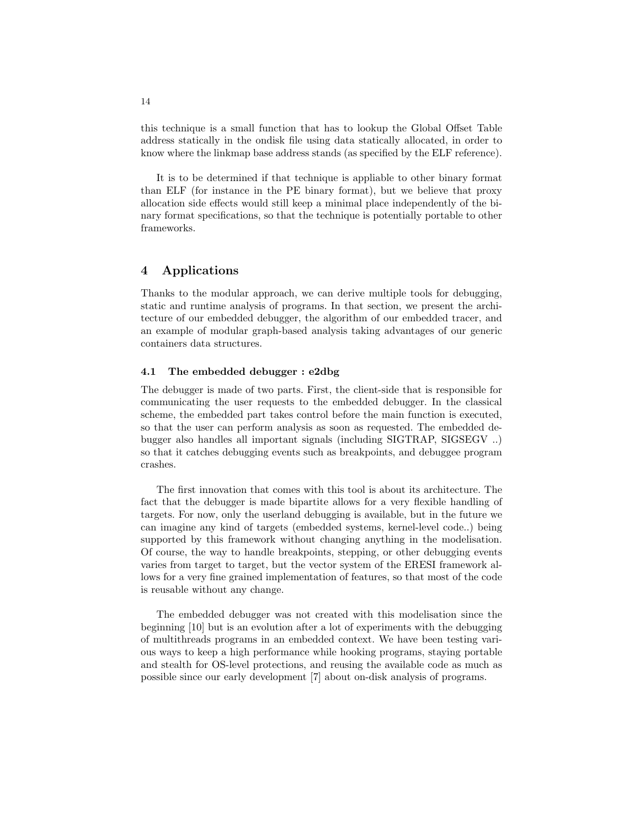this technique is a small function that has to lookup the Global Offset Table address statically in the ondisk file using data statically allocated, in order to know where the linkmap base address stands (as specified by the ELF reference).

It is to be determined if that technique is appliable to other binary format than ELF (for instance in the PE binary format), but we believe that proxy allocation side effects would still keep a minimal place independently of the binary format specifications, so that the technique is potentially portable to other frameworks.

# 4 Applications

Thanks to the modular approach, we can derive multiple tools for debugging, static and runtime analysis of programs. In that section, we present the architecture of our embedded debugger, the algorithm of our embedded tracer, and an example of modular graph-based analysis taking advantages of our generic containers data structures.

### 4.1 The embedded debugger : e2dbg

The debugger is made of two parts. First, the client-side that is responsible for communicating the user requests to the embedded debugger. In the classical scheme, the embedded part takes control before the main function is executed, so that the user can perform analysis as soon as requested. The embedded debugger also handles all important signals (including SIGTRAP, SIGSEGV ..) so that it catches debugging events such as breakpoints, and debuggee program crashes.

The first innovation that comes with this tool is about its architecture. The fact that the debugger is made bipartite allows for a very flexible handling of targets. For now, only the userland debugging is available, but in the future we can imagine any kind of targets (embedded systems, kernel-level code..) being supported by this framework without changing anything in the modelisation. Of course, the way to handle breakpoints, stepping, or other debugging events varies from target to target, but the vector system of the ERESI framework allows for a very fine grained implementation of features, so that most of the code is reusable without any change.

The embedded debugger was not created with this modelisation since the beginning [10] but is an evolution after a lot of experiments with the debugging of multithreads programs in an embedded context. We have been testing various ways to keep a high performance while hooking programs, staying portable and stealth for OS-level protections, and reusing the available code as much as possible since our early development [7] about on-disk analysis of programs.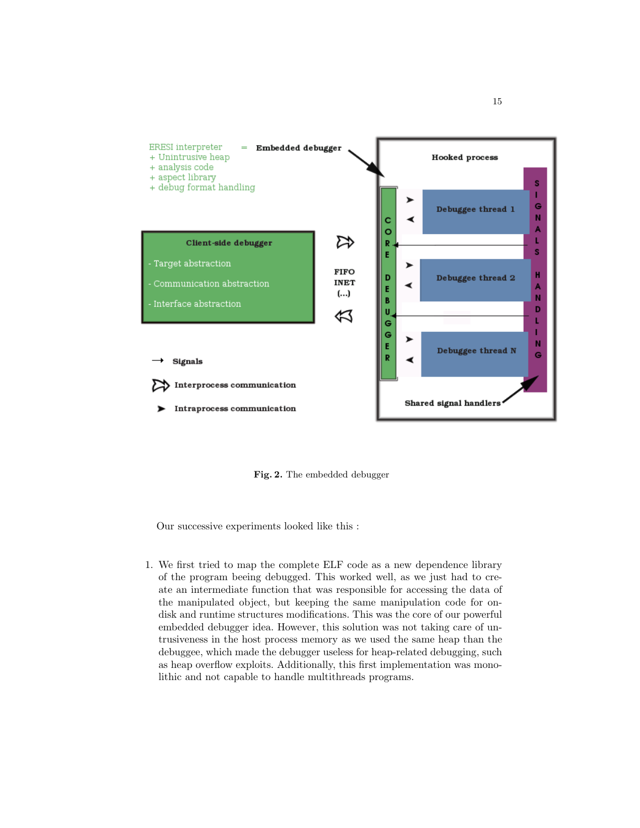

Fig. 2. The embedded debugger

Our successive experiments looked like this :

1. We first tried to map the complete ELF code as a new dependence library of the program beeing debugged. This worked well, as we just had to create an intermediate function that was responsible for accessing the data of the manipulated object, but keeping the same manipulation code for ondisk and runtime structures modifications. This was the core of our powerful embedded debugger idea. However, this solution was not taking care of untrusiveness in the host process memory as we used the same heap than the debuggee, which made the debugger useless for heap-related debugging, such as heap overflow exploits. Additionally, this first implementation was monolithic and not capable to handle multithreads programs.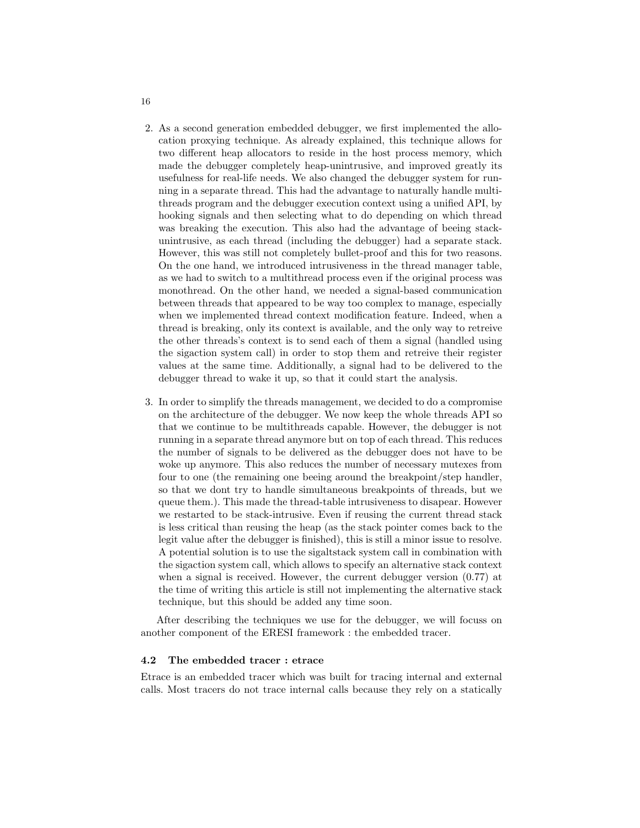- 2. As a second generation embedded debugger, we first implemented the allocation proxying technique. As already explained, this technique allows for two different heap allocators to reside in the host process memory, which made the debugger completely heap-unintrusive, and improved greatly its usefulness for real-life needs. We also changed the debugger system for running in a separate thread. This had the advantage to naturally handle multithreads program and the debugger execution context using a unified API, by hooking signals and then selecting what to do depending on which thread was breaking the execution. This also had the advantage of beeing stackunintrusive, as each thread (including the debugger) had a separate stack. However, this was still not completely bullet-proof and this for two reasons. On the one hand, we introduced intrusiveness in the thread manager table, as we had to switch to a multithread process even if the original process was monothread. On the other hand, we needed a signal-based communication between threads that appeared to be way too complex to manage, especially when we implemented thread context modification feature. Indeed, when a thread is breaking, only its context is available, and the only way to retreive the other threads's context is to send each of them a signal (handled using the sigaction system call) in order to stop them and retreive their register values at the same time. Additionally, a signal had to be delivered to the debugger thread to wake it up, so that it could start the analysis.
- 3. In order to simplify the threads management, we decided to do a compromise on the architecture of the debugger. We now keep the whole threads API so that we continue to be multithreads capable. However, the debugger is not running in a separate thread anymore but on top of each thread. This reduces the number of signals to be delivered as the debugger does not have to be woke up anymore. This also reduces the number of necessary mutexes from four to one (the remaining one beeing around the breakpoint/step handler, so that we dont try to handle simultaneous breakpoints of threads, but we queue them.). This made the thread-table intrusiveness to disapear. However we restarted to be stack-intrusive. Even if reusing the current thread stack is less critical than reusing the heap (as the stack pointer comes back to the legit value after the debugger is finished), this is still a minor issue to resolve. A potential solution is to use the sigaltstack system call in combination with the sigaction system call, which allows to specify an alternative stack context when a signal is received. However, the current debugger version  $(0.77)$  at the time of writing this article is still not implementing the alternative stack technique, but this should be added any time soon.

After describing the techniques we use for the debugger, we will focuss on another component of the ERESI framework : the embedded tracer.

### 4.2 The embedded tracer : etrace

Etrace is an embedded tracer which was built for tracing internal and external calls. Most tracers do not trace internal calls because they rely on a statically

16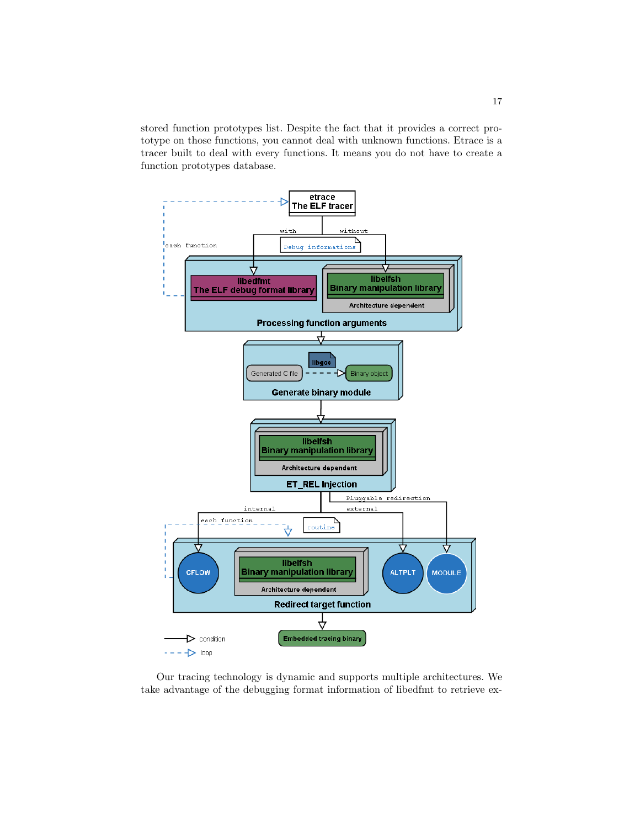stored function prototypes list. Despite the fact that it provides a correct prototype on those functions, you cannot deal with unknown functions. Etrace is a tracer built to deal with every functions. It means you do not have to create a function prototypes database.



Our tracing technology is dynamic and supports multiple architectures. We take advantage of the debugging format information of libedfmt to retrieve ex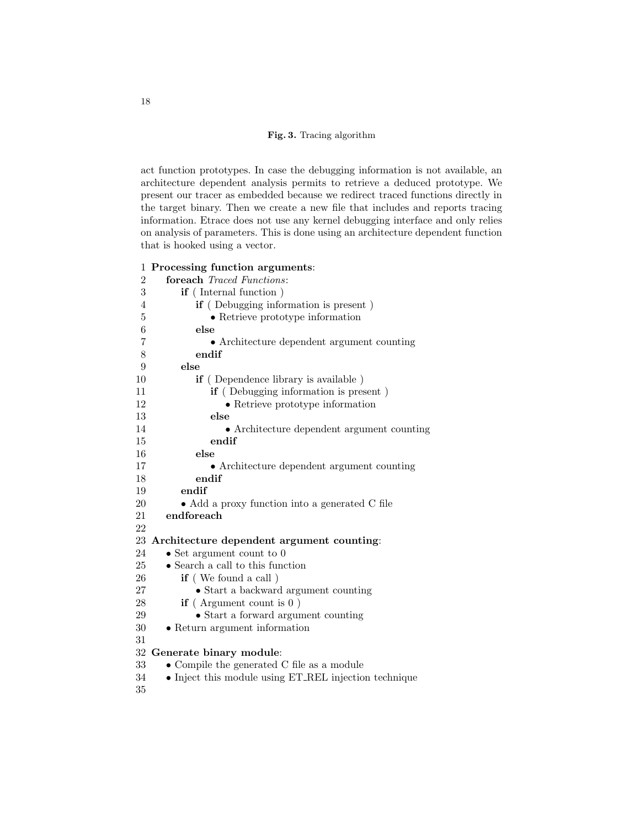Fig. 3. Tracing algorithm

act function prototypes. In case the debugging information is not available, an architecture dependent analysis permits to retrieve a deduced prototype. We present our tracer as embedded because we redirect traced functions directly in the target binary. Then we create a new file that includes and reports tracing information. Etrace does not use any kernel debugging interface and only relies on analysis of parameters. This is done using an architecture dependent function that is hooked using a vector.

# Processing function arguments:

| $\overline{2}$ | foreach Traced Functions:                             |
|----------------|-------------------------------------------------------|
| 3              | <b>if</b> (Internal function)                         |
| 4              | <b>if</b> (Debugging information is present)          |
| 5              | • Retrieve prototype information                      |
| 6              | else                                                  |
| 7              | • Architecture dependent argument counting            |
| 8              | endif                                                 |
| 9              | else                                                  |
| 10             | <b>if</b> (Dependence library is available)           |
| 11             | <b>if</b> (Debugging information is present)          |
| 12             | • Retrieve prototype information                      |
| 13             | else                                                  |
| 14             | • Architecture dependent argument counting            |
| 15             | endif                                                 |
| 16             | else                                                  |
| 17             | • Architecture dependent argument counting            |
| 18             | endif                                                 |
| 19             | endif                                                 |
| $20\,$         | • Add a proxy function into a generated C file        |
| 21             | endforeach                                            |
| 22             |                                                       |
|                | 23 Architecture dependent argument counting:          |
| 24             | $\bullet$ Set argument count to 0                     |
| 25             | • Search a call to this function                      |
| 26             | if (We found a call)                                  |
| 27             | • Start a backward argument counting                  |
| 28             | if (Argument count is $0$ )                           |
| $29\,$         | • Start a forward argument counting                   |
| $30\,$         | • Return argument information                         |
| 31             |                                                       |
|                | 32 Generate binary module:                            |
| 33             | $\bullet$ Compile the generated C file as a module    |
| 34             | • Inject this module using ET_REL injection technique |
| 35             |                                                       |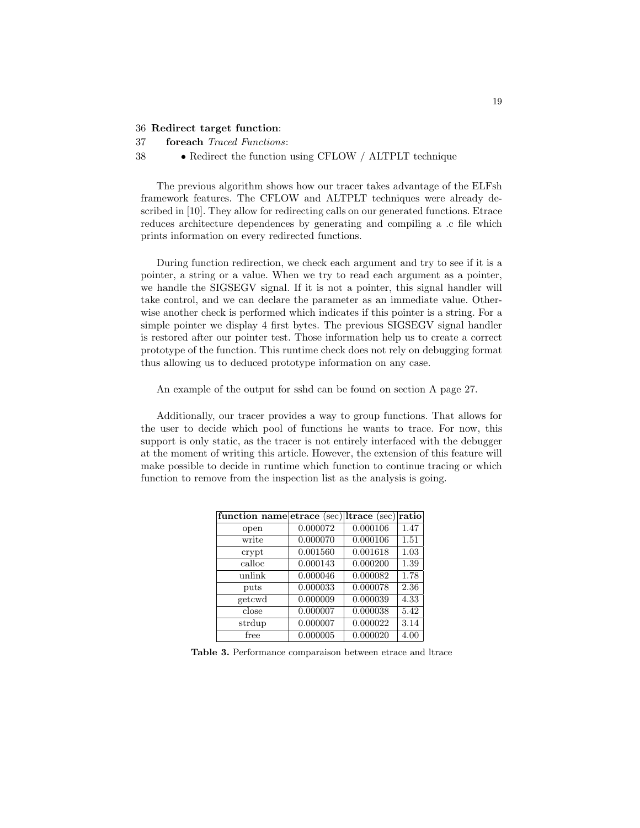#### 36 Redirect target function:

37 foreach Traced Functions:

#### 38 • Redirect the function using CFLOW / ALTPLT technique

The previous algorithm shows how our tracer takes advantage of the ELFsh framework features. The CFLOW and ALTPLT techniques were already described in [10]. They allow for redirecting calls on our generated functions. Etrace reduces architecture dependences by generating and compiling a .c file which prints information on every redirected functions.

During function redirection, we check each argument and try to see if it is a pointer, a string or a value. When we try to read each argument as a pointer, we handle the SIGSEGV signal. If it is not a pointer, this signal handler will take control, and we can declare the parameter as an immediate value. Otherwise another check is performed which indicates if this pointer is a string. For a simple pointer we display 4 first bytes. The previous SIGSEGV signal handler is restored after our pointer test. Those information help us to create a correct prototype of the function. This runtime check does not rely on debugging format thus allowing us to deduced prototype information on any case.

An example of the output for sshd can be found on section A page 27.

Additionally, our tracer provides a way to group functions. That allows for the user to decide which pool of functions he wants to trace. For now, this support is only static, as the tracer is not entirely interfaced with the debugger at the moment of writing this article. However, the extension of this feature will make possible to decide in runtime which function to continue tracing or which function to remove from the inspection list as the analysis is going.

| function name etrace (sec) ltrace (sec) |          |          | ratio |
|-----------------------------------------|----------|----------|-------|
| open                                    | 0.000072 | 0.000106 | 1.47  |
| write                                   | 0.000070 | 0.000106 | 1.51  |
| crypt                                   | 0.001560 | 0.001618 | 1.03  |
| calloc                                  | 0.000143 | 0.000200 | 1.39  |
| unlink                                  | 0.000046 | 0.000082 | 1.78  |
| puts                                    | 0.000033 | 0.000078 | 2.36  |
| getcwd                                  | 0.000009 | 0.000039 | 4.33  |
| close                                   | 0.000007 | 0.000038 | 5.42  |
| strdup                                  | 0.000007 | 0.000022 | 3.14  |
| free                                    | 0.000005 | 0.000020 | 4.00  |

Table 3. Performance comparaison between etrace and ltrace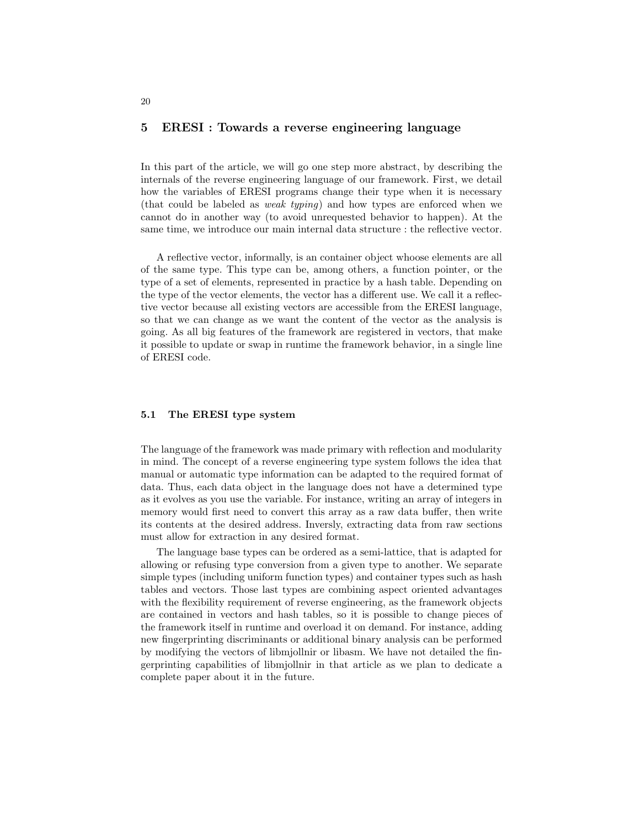### 5 ERESI : Towards a reverse engineering language

In this part of the article, we will go one step more abstract, by describing the internals of the reverse engineering language of our framework. First, we detail how the variables of ERESI programs change their type when it is necessary (that could be labeled as weak typing) and how types are enforced when we cannot do in another way (to avoid unrequested behavior to happen). At the same time, we introduce our main internal data structure : the reflective vector.

A reflective vector, informally, is an container object whoose elements are all of the same type. This type can be, among others, a function pointer, or the type of a set of elements, represented in practice by a hash table. Depending on the type of the vector elements, the vector has a different use. We call it a reflective vector because all existing vectors are accessible from the ERESI language, so that we can change as we want the content of the vector as the analysis is going. As all big features of the framework are registered in vectors, that make it possible to update or swap in runtime the framework behavior, in a single line of ERESI code.

### 5.1 The ERESI type system

The language of the framework was made primary with reflection and modularity in mind. The concept of a reverse engineering type system follows the idea that manual or automatic type information can be adapted to the required format of data. Thus, each data object in the language does not have a determined type as it evolves as you use the variable. For instance, writing an array of integers in memory would first need to convert this array as a raw data buffer, then write its contents at the desired address. Inversly, extracting data from raw sections must allow for extraction in any desired format.

The language base types can be ordered as a semi-lattice, that is adapted for allowing or refusing type conversion from a given type to another. We separate simple types (including uniform function types) and container types such as hash tables and vectors. Those last types are combining aspect oriented advantages with the flexibility requirement of reverse engineering, as the framework objects are contained in vectors and hash tables, so it is possible to change pieces of the framework itself in runtime and overload it on demand. For instance, adding new fingerprinting discriminants or additional binary analysis can be performed by modifying the vectors of libmjollnir or libasm. We have not detailed the fingerprinting capabilities of libmjollnir in that article as we plan to dedicate a complete paper about it in the future.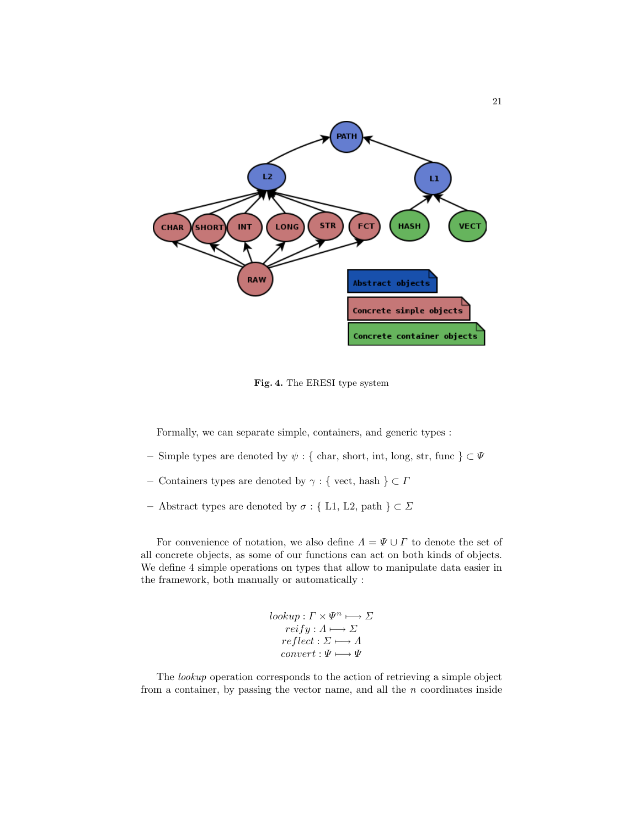

Fig. 4. The ERESI type system

Formally, we can separate simple, containers, and generic types :

- Simple types are denoted by ψ : { char, short, int, long, str, func } ⊂ Ψ
- Containers types are denoted by  $\gamma$  : { vect, hash  $\} \subset \varGamma$
- Abstract types are denoted by  $\sigma$  : { L1, L2, path }  $\subset \Sigma$

For convenience of notation, we also define  $\Lambda = \Psi \cup \Gamma$  to denote the set of all concrete objects, as some of our functions can act on both kinds of objects. We define 4 simple operations on types that allow to manipulate data easier in the framework, both manually or automatically :

> $lookup: \Gamma \times \Psi^n \longmapsto \Sigma$  $reify: A \longmapsto \varSigma$  $reflect : \Sigma \longmapsto A$  $convert : \Psi \longmapsto \Psi$

The lookup operation corresponds to the action of retrieving a simple object from a container, by passing the vector name, and all the  $n$  coordinates inside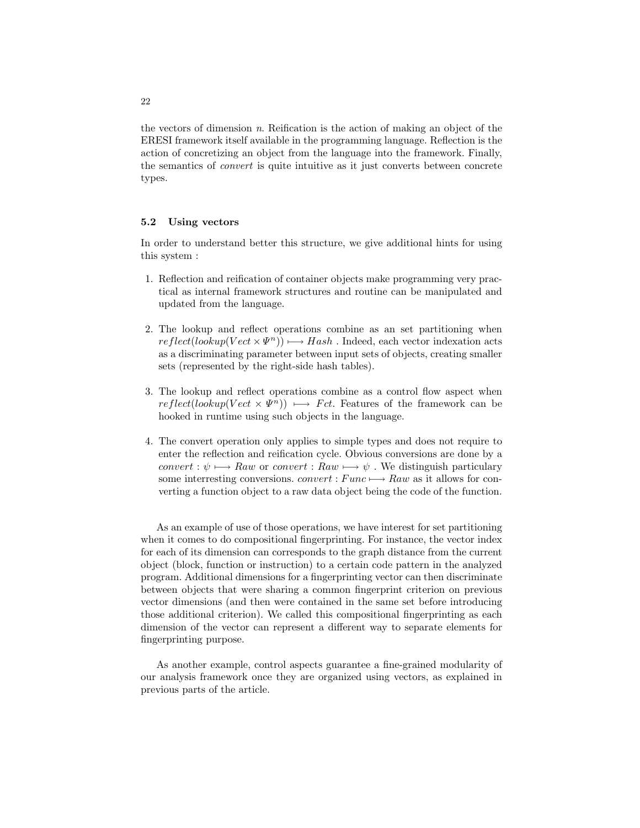the vectors of dimension  $n$ . Reification is the action of making an object of the ERESI framework itself available in the programming language. Reflection is the action of concretizing an object from the language into the framework. Finally, the semantics of convert is quite intuitive as it just converts between concrete types.

### 5.2 Using vectors

In order to understand better this structure, we give additional hints for using this system :

- 1. Reflection and reification of container objects make programming very practical as internal framework structures and routine can be manipulated and updated from the language.
- 2. The lookup and reflect operations combine as an set partitioning when  $reflect(lookup(Vect \times \Psi^n)) \longmapsto Hash$ . Indeed, each vector indexation acts as a discriminating parameter between input sets of objects, creating smaller sets (represented by the right-side hash tables).
- 3. The lookup and reflect operations combine as a control flow aspect when  $reflect(lookup(Vect \times \Psi^n)) \longrightarrow Fct.$  Features of the framework can be hooked in runtime using such objects in the language.
- 4. The convert operation only applies to simple types and does not require to enter the reflection and reification cycle. Obvious conversions are done by a convert :  $\psi \mapsto Raw$  or convert : Raw  $\longmapsto \psi$ . We distinguish particulary some interresting conversions. *convert* :  $Func \rightarrow Raw$  as it allows for converting a function object to a raw data object being the code of the function.

As an example of use of those operations, we have interest for set partitioning when it comes to do compositional fingerprinting. For instance, the vector index for each of its dimension can corresponds to the graph distance from the current object (block, function or instruction) to a certain code pattern in the analyzed program. Additional dimensions for a fingerprinting vector can then discriminate between objects that were sharing a common fingerprint criterion on previous vector dimensions (and then were contained in the same set before introducing those additional criterion). We called this compositional fingerprinting as each dimension of the vector can represent a different way to separate elements for fingerprinting purpose.

As another example, control aspects guarantee a fine-grained modularity of our analysis framework once they are organized using vectors, as explained in previous parts of the article.

22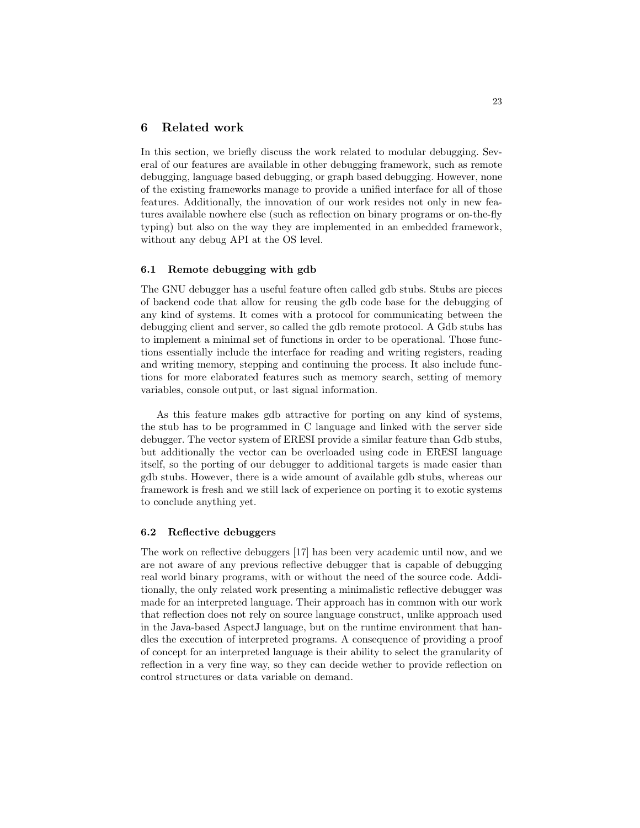# 6 Related work

In this section, we briefly discuss the work related to modular debugging. Several of our features are available in other debugging framework, such as remote debugging, language based debugging, or graph based debugging. However, none of the existing frameworks manage to provide a unified interface for all of those features. Additionally, the innovation of our work resides not only in new features available nowhere else (such as reflection on binary programs or on-the-fly typing) but also on the way they are implemented in an embedded framework, without any debug API at the OS level.

### 6.1 Remote debugging with gdb

The GNU debugger has a useful feature often called gdb stubs. Stubs are pieces of backend code that allow for reusing the gdb code base for the debugging of any kind of systems. It comes with a protocol for communicating between the debugging client and server, so called the gdb remote protocol. A Gdb stubs has to implement a minimal set of functions in order to be operational. Those functions essentially include the interface for reading and writing registers, reading and writing memory, stepping and continuing the process. It also include functions for more elaborated features such as memory search, setting of memory variables, console output, or last signal information.

As this feature makes gdb attractive for porting on any kind of systems, the stub has to be programmed in C language and linked with the server side debugger. The vector system of ERESI provide a similar feature than Gdb stubs, but additionally the vector can be overloaded using code in ERESI language itself, so the porting of our debugger to additional targets is made easier than gdb stubs. However, there is a wide amount of available gdb stubs, whereas our framework is fresh and we still lack of experience on porting it to exotic systems to conclude anything yet.

#### 6.2 Reflective debuggers

The work on reflective debuggers [17] has been very academic until now, and we are not aware of any previous reflective debugger that is capable of debugging real world binary programs, with or without the need of the source code. Additionally, the only related work presenting a minimalistic reflective debugger was made for an interpreted language. Their approach has in common with our work that reflection does not rely on source language construct, unlike approach used in the Java-based AspectJ language, but on the runtime environment that handles the execution of interpreted programs. A consequence of providing a proof of concept for an interpreted language is their ability to select the granularity of reflection in a very fine way, so they can decide wether to provide reflection on control structures or data variable on demand.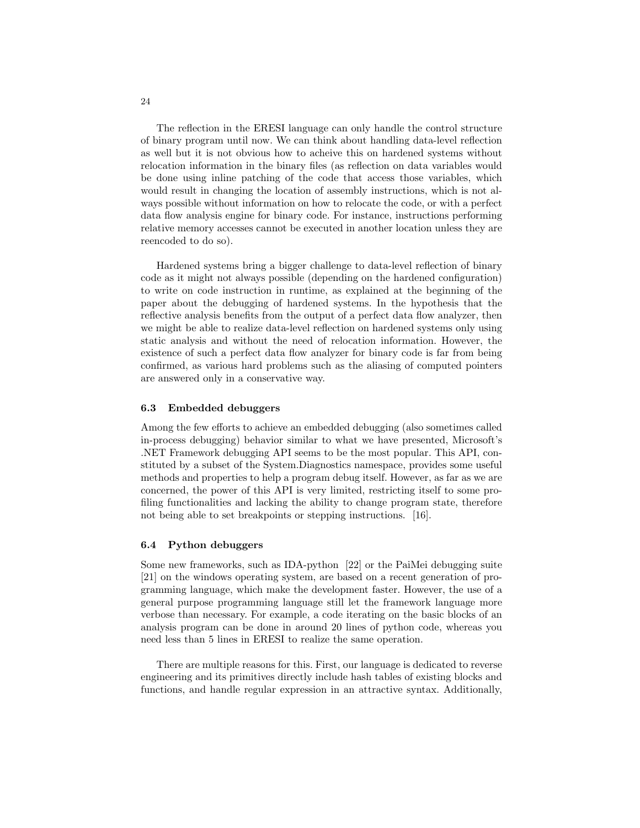The reflection in the ERESI language can only handle the control structure of binary program until now. We can think about handling data-level reflection as well but it is not obvious how to acheive this on hardened systems without relocation information in the binary files (as reflection on data variables would be done using inline patching of the code that access those variables, which would result in changing the location of assembly instructions, which is not always possible without information on how to relocate the code, or with a perfect data flow analysis engine for binary code. For instance, instructions performing relative memory accesses cannot be executed in another location unless they are reencoded to do so).

Hardened systems bring a bigger challenge to data-level reflection of binary code as it might not always possible (depending on the hardened configuration) to write on code instruction in runtime, as explained at the beginning of the paper about the debugging of hardened systems. In the hypothesis that the reflective analysis benefits from the output of a perfect data flow analyzer, then we might be able to realize data-level reflection on hardened systems only using static analysis and without the need of relocation information. However, the existence of such a perfect data flow analyzer for binary code is far from being confirmed, as various hard problems such as the aliasing of computed pointers are answered only in a conservative way.

### 6.3 Embedded debuggers

Among the few efforts to achieve an embedded debugging (also sometimes called in-process debugging) behavior similar to what we have presented, Microsoft's .NET Framework debugging API seems to be the most popular. This API, constituted by a subset of the System.Diagnostics namespace, provides some useful methods and properties to help a program debug itself. However, as far as we are concerned, the power of this API is very limited, restricting itself to some profiling functionalities and lacking the ability to change program state, therefore not being able to set breakpoints or stepping instructions. [16].

### 6.4 Python debuggers

Some new frameworks, such as IDA-python [22] or the PaiMei debugging suite [21] on the windows operating system, are based on a recent generation of programming language, which make the development faster. However, the use of a general purpose programming language still let the framework language more verbose than necessary. For example, a code iterating on the basic blocks of an analysis program can be done in around 20 lines of python code, whereas you need less than 5 lines in ERESI to realize the same operation.

There are multiple reasons for this. First, our language is dedicated to reverse engineering and its primitives directly include hash tables of existing blocks and functions, and handle regular expression in an attractive syntax. Additionally,

24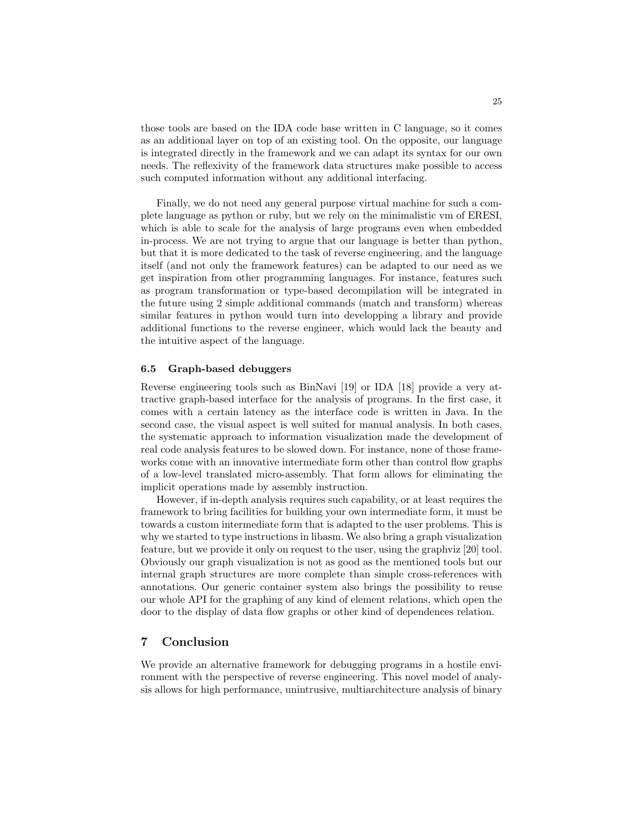those tools are based on the IDA code base written in C language, so it comes as an additional layer on top of an existing tool. On the opposite, our language is integrated directly in the framework and we can adapt its syntax for our own needs. The reflexivity of the framework data structures make possible to access such computed information without any additional interfacing.

Finally, we do not need any general purpose virtual machine for such a complete language as python or ruby, but we rely on the minimalistic vm of ERESI, which is able to scale for the analysis of large programs even when embedded in-process. We are not trying to argue that our language is better than python, but that it is more dedicated to the task of reverse engineering, and the language itself (and not only the framework features) can be adapted to our need as we get inspiration from other programming languages. For instance, features such as program transformation or type-based decompilation will be integrated in the future using 2 simple additional commands (match and transform) whereas similar features in python would turn into developping a library and provide additional functions to the reverse engineer, which would lack the beauty and the intuitive aspect of the language.

#### 6.5 Graph-based debuggers

Reverse engineering tools such as BinNavi [19] or IDA [18] provide a very attractive graph-based interface for the analysis of programs. In the first case, it comes with a certain latency as the interface code is written in Java. In the second case, the visual aspect is well suited for manual analysis. In both cases, the systematic approach to information visualization made the development of real code analysis features to be slowed down. For instance, none of those frameworks come with an innovative intermediate form other than control flow graphs of a low-level translated micro-assembly. That form allows for eliminating the implicit operations made by assembly instruction.

However, if in-depth analysis requires such capability, or at least requires the framework to bring facilities for building your own intermediate form, it must be towards a custom intermediate form that is adapted to the user problems. This is why we started to type instructions in libasm. We also bring a graph visualization feature, but we provide it only on request to the user, using the graphviz [20] tool. Obviously our graph visualization is not as good as the mentioned tools but our internal graph structures are more complete than simple cross-references with annotations. Our generic container system also brings the possibility to reuse our whole API for the graphing of any kind of element relations, which open the door to the display of data flow graphs or other kind of dependences relation.

### 7 Conclusion

We provide an alternative framework for debugging programs in a hostile environment with the perspective of reverse engineering. This novel model of analysis allows for high performance, unintrusive, multiarchitecture analysis of binary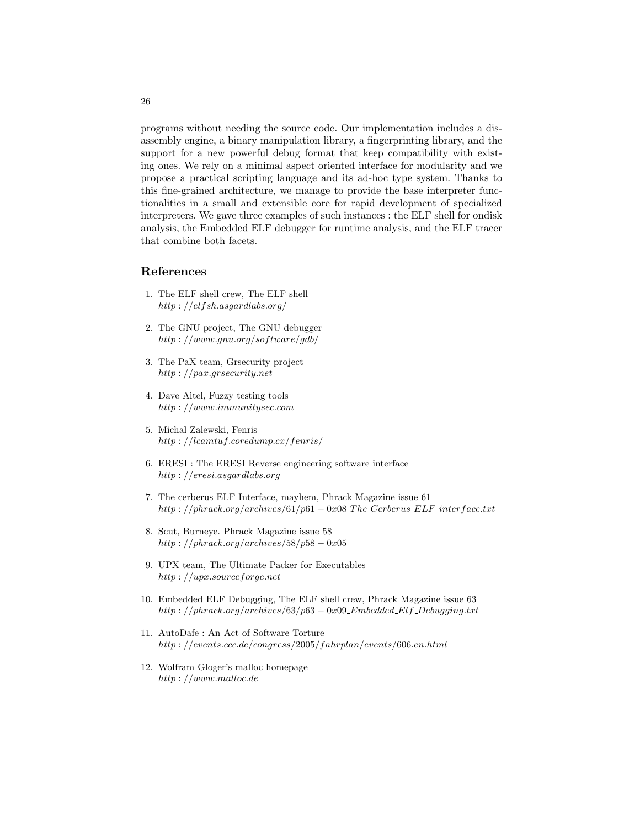programs without needing the source code. Our implementation includes a disassembly engine, a binary manipulation library, a fingerprinting library, and the support for a new powerful debug format that keep compatibility with existing ones. We rely on a minimal aspect oriented interface for modularity and we propose a practical scripting language and its ad-hoc type system. Thanks to this fine-grained architecture, we manage to provide the base interpreter functionalities in a small and extensible core for rapid development of specialized interpreters. We gave three examples of such instances : the ELF shell for ondisk analysis, the Embedded ELF debugger for runtime analysis, and the ELF tracer that combine both facets.

# References

- 1. The ELF shell crew, The ELF shell http : //elfsh.asgardlabs.org/
- 2. The GNU project, The GNU debugger  $http://www.gnu.org/software/gdb/$
- 3. The PaX team, Grsecurity project http : //pax.grsecurity.net
- 4. Dave Aitel, Fuzzy testing tools http : //www.immunitysec.com
- 5. Michal Zalewski, Fenris http : //lcamtuf.coredump.cx/fenris/
- 6. ERESI : The ERESI Reverse engineering software interface http : //eresi.asgardlabs.org
- 7. The cerberus ELF Interface, mayhem, Phrack Magazine issue 61  $http://phrack.org/archives/61/p61-0x08\_The_Cerberus\_ELF\_interface.txt$
- 8. Scut, Burneye. Phrack Magazine issue 58 http :  $//phrack.org/archives/58/p58-0x05$
- 9. UPX team, The Ultimate Packer for Executables http : //upx.sourceforge.net
- 10. Embedded ELF Debugging, The ELF shell crew, Phrack Magazine issue 63  $http://phrack.org/archives/63/p63-0x09_Embedded_Elf_Debugging.txt$
- 11. AutoDafe : An Act of Software Torture http : //events.ccc.de/congress/2005/f ahrplan/events/606.en.html
- 12. Wolfram Gloger's malloc homepage http : //www.malloc.de

26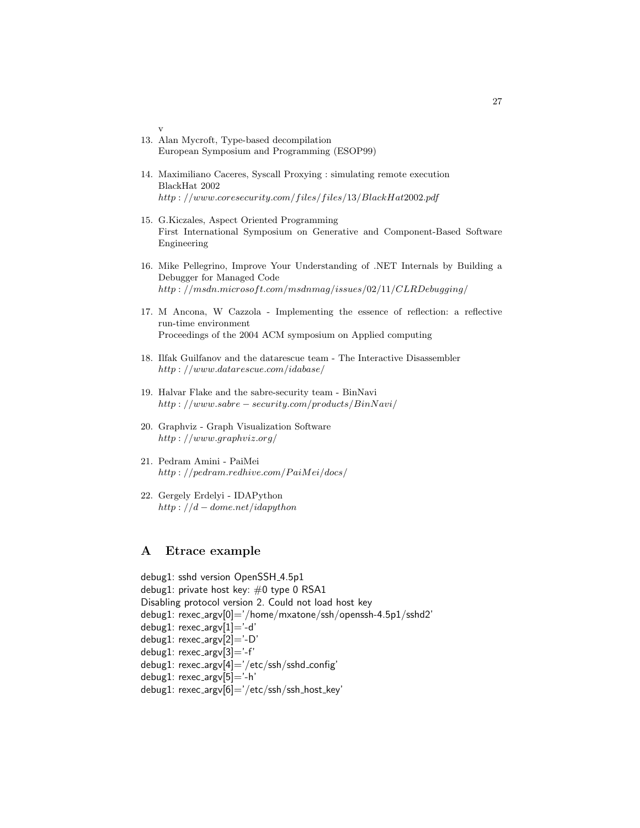13. Alan Mycroft, Type-based decompilation European Symposium and Programming (ESOP99)

v

- 14. Maximiliano Caceres, Syscall Proxying : simulating remote execution BlackHat 2002  $http://www.coresecurity.com/files/files/13/BlackHat2002.pdf$
- 15. G.Kiczales, Aspect Oriented Programming First International Symposium on Generative and Component-Based Software Engineering
- 16. Mike Pellegrino, Improve Your Understanding of .NET Internals by Building a Debugger for Managed Code http://msdn.microsoft.com/msdnmag/issues/02/11/CLRDebugging/
- 17. M Ancona, W Cazzola Implementing the essence of reflection: a reflective run-time environment Proceedings of the 2004 ACM symposium on Applied computing
- 18. Ilfak Guilfanov and the datarescue team The Interactive Disassembler http : //www.datarescue.com/idabase/
- 19. Halvar Flake and the sabre-security team BinNavi http : //www.sabre − security.com/products/BinNavi/
- 20. Graphviz Graph Visualization Software http : //www.graphviz.org/
- 21. Pedram Amini PaiMei  $http://pedram.readhire.com/PaiMei/docs/$
- 22. Gergely Erdelyi IDAPython http :  $//d - dome.net/idapython$

# A Etrace example

debug1: sshd version OpenSSH\_4.5p1 debug1: private host key: #0 type 0 RSA1 Disabling protocol version 2. Could not load host key debug1: rexec argv[0]='/home/mxatone/ssh/openssh-4.5p1/sshd2' debug1: rexec\_argv[1]='-d' debug1: rexec argv[2]='-D' debug1: rexec\_argv[3]='-f' debug1: rexec argv[4]='/etc/ssh/sshd config' debug1: rexec\_argv[5]='-h' debug1: rexec\_argv[6]='/etc/ssh/ssh\_host\_key'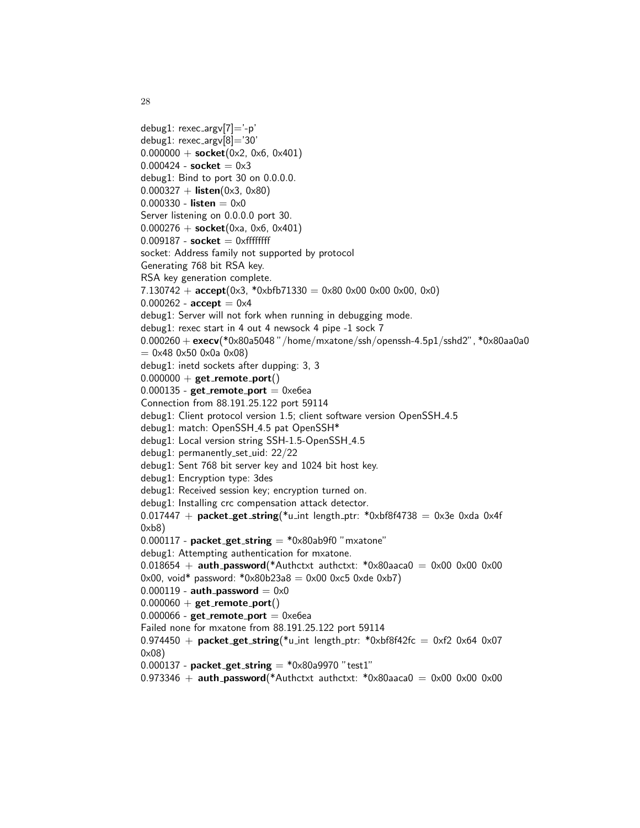```
debug1: rexec_ary[7]='-p'debug1: rexec_argv[8]='30'
0.000000 + \text{socket}(0 \times 2, 0 \times 6, 0 \times 401)0.000424 -socket = 0 \times 3debug1: Bind to port 30 on 0.0.0.0.
0.000327 + listen(0x3, 0x80)
0.000330 - listen = 0 \times 0Server listening on 0.0.0.0 port 30.
0.000276 +socket(0xa, 0x6, 0x401)
0.009187 - socket = 0xffffffff
socket: Address family not supported by protocol
Generating 768 bit RSA key.
RSA key generation complete.
7.130742 + accept(0x3, *0xbfb71330 = 0x80 0x00 0x00 0x00, 0x0)0.000262 - accept = 0 \times 4debug1: Server will not fork when running in debugging mode.
debug1: rexec start in 4 out 4 newsock 4 pipe -1 sock 7
0.000260 + execv(*0x80a5048"/home/mxatone/ssh/openssh-4.5p1/sshd2", *0x80aa0a0
= 0 \times 48 0\times 50 0\times 0a 0\times 08)
debug1: inetd sockets after dupping: 3, 3
0.000000 + get remote_port()
0.000135 - get_remote_port = 0xe6ea
Connection from 88.191.25.122 port 59114
debug1: Client protocol version 1.5; client software version OpenSSH_4.5
debug1: match: OpenSSH_4.5 pat OpenSSH*
debug1: Local version string SSH-1.5-OpenSSH_4.5
debug1: permanently_set_uid: 22/22
debug1: Sent 768 bit server key and 1024 bit host key.
debug1: Encryption type: 3des
debug1: Received session key; encryption turned on.
debug1: Installing crc compensation attack detector.
0.017447 + packet_get_string(*u_int length_ptr: *0xbf8f4738 = 0x3e 0xda 0x4f
0xb8)
0.000117 - packet get string = *0x80ab9f0 "mxatone"
debug1: Attempting authentication for mxatone.
0.018654 + \text{auth} password(*Authctxt authctxt: *0x80aaca0 = 0x00 0x00 0x00
0x00, void* password: *0x80b23a8 = 0x000xc50xde0xb70.000119 - auth password = 0 \times 00.000060 + get remote port()
0.000066 - get_remote_port = 0xe6ea
Failed none for mxatone from 88.191.25.122 port 59114
0.974450 + packet_get_string(*u_int length_ptr: *0xbf8f42fc = 0xf2 0x64 0x07
0x08)
0.000137 - packet get string = *0x80a9970 "test1"
0.973346 + auth_password(*Authctxt authctxt: *0x80aaca0 = 0x00 0x00 0x00
```
28